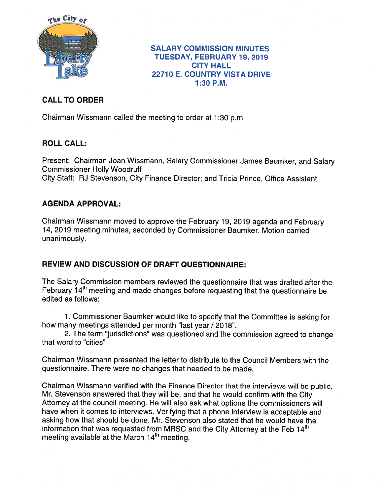

#### SALARY COMMISSION MINUTES TUESDAY, FEBRUARY 19, 2019 CITY HALL 22710 E. COUNTRY VISTA DRIVE 1:30 P.M.

# CALL TO ORDER

Chairman Wissmann called the meeting to order at 1:30 p.m.

### ROLL CALL:

Present: Chairman Joan Wissmann, Salary Commissioner James Baumker, and Salary Commissioner Holly Woodruff City Staff: RJ Stevenson, City Finance Director; and Tricia Prince, Office Assistant

## AGENDA APPROVAL:

Chairman Wissmann moved to approve the February 19, 2019 agenda and February 14, 2019 meeting minutes, seconded by Commissioner Baumker. Motion carried unanimously.

## REVIEW AND DISCUSSION OF DRAFT QUESTIONNAIRE:

The Salary Commission members reviewed the questionnaire that was drafted after the February  $14<sup>th</sup>$  meeting and made changes before requesting that the questionnaire be edited as follows:

1. Commissioner Baumker would like to specify that the Committee is asking for how many meetings attended per month "last year / 2018".

2. The term "jurisdictions" was questioned and the commission agreed to change that word to "cities"

Chairman Wissmann presented the letter to distribute to the Council Members with the questionnaire. There were no changes that needed to be made.

Chairman Wissmann verified with the Finance Director that the interviews will be public. Mr. Stevenson answered that they will be, and that he would confirm with the City Attorney at the council meeting. He will also ask what options the commissioners will have when it comes to interviews. Verifying that <sup>a</sup> <sup>p</sup>hone interview is acceptable and asking how that should be done. Mr. Stevenson also stated that he would have the information that was requested from MRSC and the City Attorney at the Feb  $14<sup>th</sup>$ meeting available at the March  $14<sup>th</sup>$  meeting.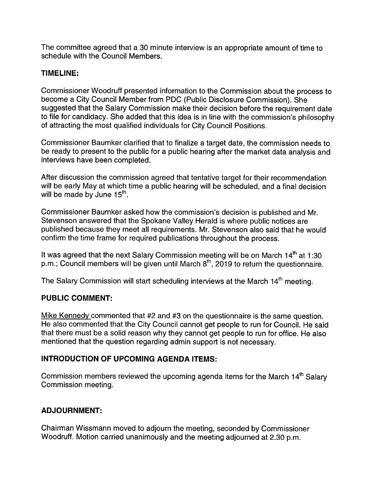The committee agree<sup>d</sup> that <sup>a</sup> <sup>30</sup> minute interview is an appropriate amount of time to schedule with the Council Members.

#### TIMELINE:

Commissioner Woodruff presented information to the Commission about the process to become <sup>a</sup> City Council Member from PDC (Public Disclosure Commission). She suggested that the Salary Commission make their decision before the requirement date to file for candidacy. She added that this idea is in line with the commission's <sup>p</sup>hilosophy of attracting the most qualified individuals for City Council Positions.

Commissioner Baumker clarified that to finalize <sup>a</sup> target date, the commission needs to be ready to presen<sup>t</sup> to the public for <sup>a</sup> public hearing after the market data analysis and interviews have been completed.

After discussion the commission agreed that tentative target for their recommendation will be early May at which time <sup>a</sup> public hearing will be scheduled, and <sup>a</sup> final decision will be made by June  $15<sup>th</sup>$ .

Commissioner Baumker asked how the commission's decision is published and Mr. Stevenson answered that the Spokane Valley Herald is where public notices are published because they meet all requirements. Mr. Stevenson also said that he would confirm the time frame for required publications throughout the process.

It was agreed that the next Salary Commission meeting will be on March  $14<sup>th</sup>$  at 1:30 p.m.; Council members will be given until March  $8<sup>th</sup>$ , 2019 to return the questionnaire.

The Salary Commission will start scheduling interviews at the March 14<sup>th</sup> meeting.

#### PUBLIC COMMENT:

Mike Kennedy commented that #2 and #3 on the questionnaire is the same question. He also commented that the City Council cannot ge<sup>t</sup> people to run for Council. He said that there must be <sup>a</sup> solid reason why they cannot ge<sup>t</sup> people to run for office. He also mentioned that the question regarding admin suppor<sup>t</sup> is not necessary.

### INTRODUCTION OF UPCOMING AGENDA ITEMS:

Commission members reviewed the upcoming agenda items for the March  $14<sup>th</sup>$  Salary Commission meeting.

### ADJOURNMENT:

Chairman Wissmann moved to adjourn the meeting, seconded by Commissioner Woodruff. Motion carried unanimously and the meeting adjourned at 2.30 p.m.